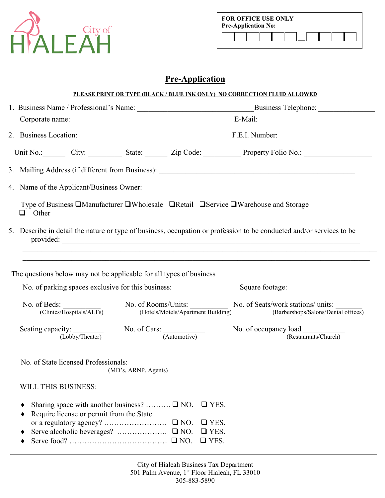

| <b>FOR OFFICE USE ONLY</b><br><b>Pre-Application No:</b> |  |  |  |  |  |  |  |  |
|----------------------------------------------------------|--|--|--|--|--|--|--|--|
|                                                          |  |  |  |  |  |  |  |  |

## **Pre-Application**

|                                                                                                                                           |                                       |                                                          | PLEASE PRINT OR TYPE (BLACK / BLUE INK ONLY) NO CORRECTION FLUID ALLOWED                                                          |  |
|-------------------------------------------------------------------------------------------------------------------------------------------|---------------------------------------|----------------------------------------------------------|-----------------------------------------------------------------------------------------------------------------------------------|--|
|                                                                                                                                           |                                       |                                                          |                                                                                                                                   |  |
|                                                                                                                                           |                                       |                                                          |                                                                                                                                   |  |
|                                                                                                                                           |                                       |                                                          | F.E.I. Number:                                                                                                                    |  |
|                                                                                                                                           |                                       |                                                          | Unit No.: City: City: State: Zip Code: Property Folio No.: City:                                                                  |  |
|                                                                                                                                           |                                       |                                                          |                                                                                                                                   |  |
|                                                                                                                                           |                                       |                                                          |                                                                                                                                   |  |
| Type of Business □Manufacturer □Wholesale □Retail □Service □Warehouse and Storage<br>u.                                                   |                                       |                                                          |                                                                                                                                   |  |
|                                                                                                                                           |                                       |                                                          | 5. Describe in detail the nature or type of business, occupation or profession to be conducted and/or services to be<br>provided: |  |
| The questions below may not be applicable for all types of business<br>No. of parking spaces exclusive for this business:<br>No. of Beds: | No. of Rooms/Units:                   |                                                          | Square footage:<br>No. of Seats/work stations/ units:                                                                             |  |
| (Clinics/Hospitals/ALFs)                                                                                                                  | (Hotels/Motels/Apartment Building)    |                                                          | (Barbershops/Salons/Dental offices)                                                                                               |  |
| Seating capacity:<br>(Lobby/Theater)                                                                                                      | No. of Cars: $\frac{1}{(Automotive)}$ |                                                          | No. of occupancy load<br>(Restaurants/Church)                                                                                     |  |
| No. of State licensed Professionals:<br>(MD's, ARNP, Agents)                                                                              |                                       |                                                          |                                                                                                                                   |  |
| <b>WILL THIS BUSINESS:</b>                                                                                                                |                                       |                                                          |                                                                                                                                   |  |
| Sharing space with another business? $\square$ NO.<br>Require license or permit from the State                                            |                                       | $\Box$ YES.<br>$\Box$ YES.<br>$\Box$ YES.<br>$\Box$ YES. |                                                                                                                                   |  |